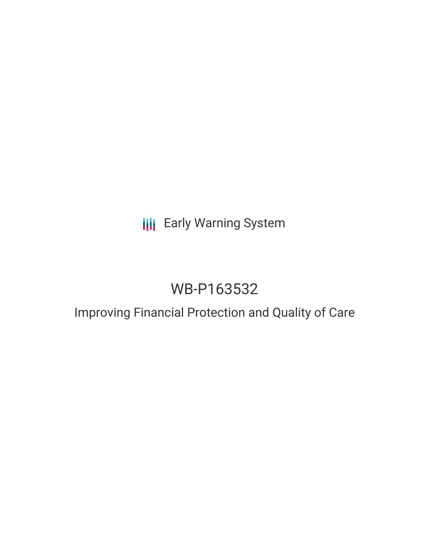## **III** Early Warning System

# WB-P163532

### Improving Financial Protection and Quality of Care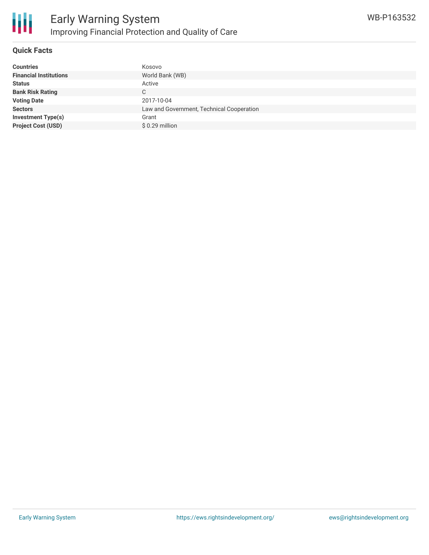

#### **Quick Facts**

| <b>Countries</b>              | Kosovo                                    |
|-------------------------------|-------------------------------------------|
| <b>Financial Institutions</b> | World Bank (WB)                           |
| <b>Status</b>                 | Active                                    |
| <b>Bank Risk Rating</b>       | С                                         |
| <b>Voting Date</b>            | 2017-10-04                                |
| <b>Sectors</b>                | Law and Government, Technical Cooperation |
| <b>Investment Type(s)</b>     | Grant                                     |
| <b>Project Cost (USD)</b>     | $$0.29$ million                           |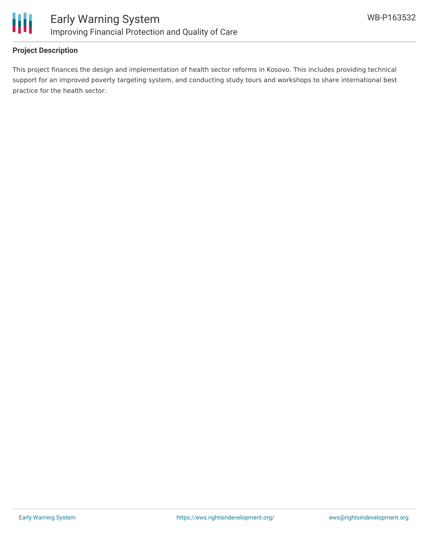

#### **Project Description**

This project finances the design and implementation of health sector reforms in Kosovo. This includes providing technical support for an improved poverty targeting system, and conducting study tours and workshops to share international best practice for the health sector.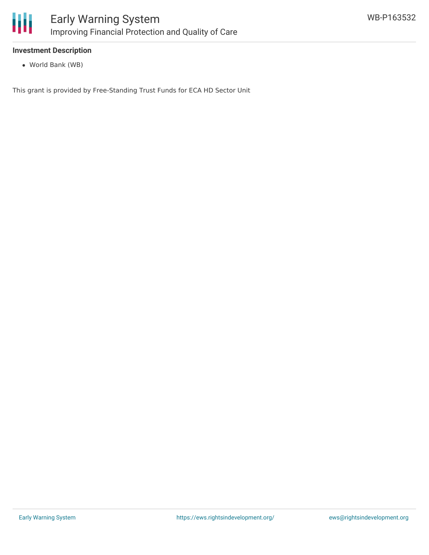

#### **Investment Description**

World Bank (WB)

This grant is provided by Free-Standing Trust Funds for ECA HD Sector Unit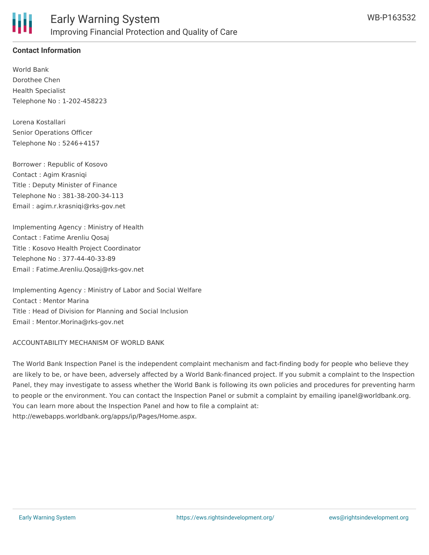

#### **Contact Information**

World Bank Dorothee Chen Health Specialist Telephone No : 1-202-458223

Lorena Kostallari Senior Operations Officer Telephone No : 5246+4157

Borrower : Republic of Kosovo Contact : Agim Krasniqi Title : Deputy Minister of Finance Telephone No : 381-38-200-34-113 Email : agim.r.krasniqi@rks-gov.net

Implementing Agency : Ministry of Health Contact : Fatime Arenliu Qosaj Title : Kosovo Health Project Coordinator Telephone No : 377-44-40-33-89 Email : Fatime.Arenliu.Qosaj@rks-gov.net

Implementing Agency : Ministry of Labor and Social Welfare Contact : Mentor Marina Title : Head of Division for Planning and Social Inclusion Email : Mentor.Morina@rks-gov.net

ACCOUNTABILITY MECHANISM OF WORLD BANK

The World Bank Inspection Panel is the independent complaint mechanism and fact-finding body for people who believe they are likely to be, or have been, adversely affected by a World Bank-financed project. If you submit a complaint to the Inspection Panel, they may investigate to assess whether the World Bank is following its own policies and procedures for preventing harm to people or the environment. You can contact the Inspection Panel or submit a complaint by emailing ipanel@worldbank.org. You can learn more about the Inspection Panel and how to file a complaint at: http://ewebapps.worldbank.org/apps/ip/Pages/Home.aspx.